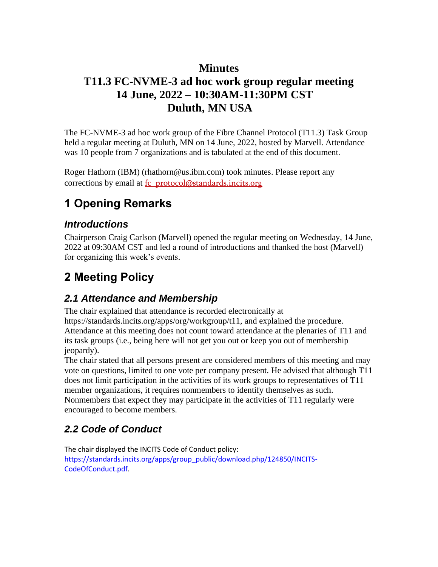## **Minutes**

## **T11.3 FC-NVME-3 ad hoc work group regular meeting 14 June, 2022 – 10:30AM-11:30PM CST Duluth, MN USA**

The FC-NVME-3 ad hoc work group of the Fibre Channel Protocol (T11.3) Task Group held a regular meeting at Duluth, MN on 14 June, 2022, hosted by Marvell. Attendance was 10 people from 7 organizations and is tabulated at the end of this document.

Roger Hathorn (IBM) (rhathorn@us.ibm.com) took minutes. Please report any corrections by email at fc\_protocol@standards.incits.org

# **1 Opening Remarks**

### *Introductions*

Chairperson Craig Carlson (Marvell) opened the regular meeting on Wednesday, 14 June, 2022 at 09:30AM CST and led a round of introductions and thanked the host (Marvell) for organizing this week's events.

# **2 Meeting Policy**

## *2.1 Attendance and Membership*

The chair explained that attendance is recorded electronically at https://standards.incits.org/apps/org/workgroup/t11, and explained the procedure. Attendance at this meeting does not count toward attendance at the plenaries of T11 and its task groups (i.e., being here will not get you out or keep you out of membership jeopardy).

The chair stated that all persons present are considered members of this meeting and may vote on questions, limited to one vote per company present. He advised that although T11 does not limit participation in the activities of its work groups to representatives of T11 member organizations, it requires nonmembers to identify themselves as such. Nonmembers that expect they may participate in the activities of T11 regularly were encouraged to become members.

## *2.2 Code of Conduct*

The chair displayed the INCITS Code of Conduct policy: https://standards.incits.org/apps/group\_public/download.php/124850/INCITS-CodeOfConduct.pdf.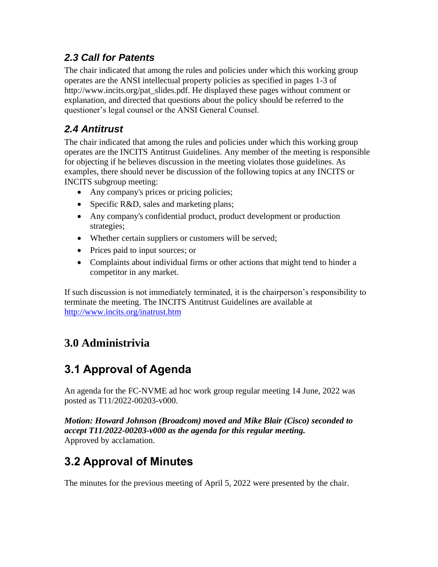## *2.3 Call for Patents*

The chair indicated that among the rules and policies under which this working group operates are the ANSI intellectual property policies as specified in pages 1-3 of http://www.incits.org/pat\_slides.pdf. He displayed these pages without comment or explanation, and directed that questions about the policy should be referred to the questioner's legal counsel or the ANSI General Counsel.

## *2.4 Antitrust*

The chair indicated that among the rules and policies under which this working group operates are the INCITS Antitrust Guidelines. Any member of the meeting is responsible for objecting if he believes discussion in the meeting violates those guidelines. As examples, there should never be discussion of the following topics at any INCITS or INCITS subgroup meeting:

- Any company's prices or pricing policies;
- Specific R&D, sales and marketing plans;
- Any company's confidential product, product development or production strategies;
- Whether certain suppliers or customers will be served;
- Prices paid to input sources; or
- Complaints about individual firms or other actions that might tend to hinder a competitor in any market.

If such discussion is not immediately terminated, it is the chairperson's responsibility to terminate the meeting. The INCITS Antitrust Guidelines are available at <http://www.incits.org/inatrust.htm>

# **3.0 Administrivia**

# **3.1 Approval of Agenda**

An agenda for the FC-NVME ad hoc work group regular meeting 14 June, 2022 was posted as T11/2022-00203-v000.

*Motion: Howard Johnson (Broadcom) moved and Mike Blair (Cisco) seconded to accept T11/2022-00203-v000 as the agenda for this regular meeting.*  Approved by acclamation.

# **3.2 Approval of Minutes**

The minutes for the previous meeting of April 5, 2022 were presented by the chair.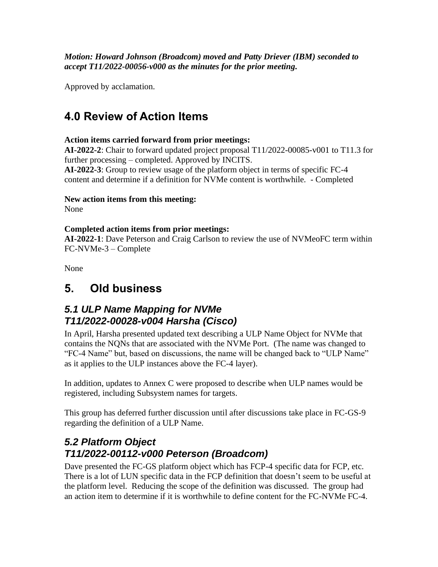*Motion: Howard Johnson (Broadcom) moved and Patty Driever (IBM) seconded to accept T11/2022-00056-v000 as the minutes for the prior meeting.* 

Approved by acclamation.

# **4.0 Review of Action Items**

#### **Action items carried forward from prior meetings:**

**AI-2022-2**: Chair to forward updated project proposal T11/2022-00085-v001 to T11.3 for further processing – completed. Approved by INCITS.

**AI-2022-3**: Group to review usage of the platform object in terms of specific FC-4 content and determine if a definition for NVMe content is worthwhile. - Completed

#### **New action items from this meeting:**

None

#### **Completed action items from prior meetings:**

**AI-2022-1**: Dave Peterson and Craig Carlson to review the use of NVMeoFC term within FC-NVMe-3 – Complete

None

## **5. Old business**

### *5.1 ULP Name Mapping for NVMe T11/2022-00028-v004 Harsha (Cisco)*

In April, Harsha presented updated text describing a ULP Name Object for NVMe that contains the NQNs that are associated with the NVMe Port. (The name was changed to "FC-4 Name" but, based on discussions, the name will be changed back to "ULP Name" as it applies to the ULP instances above the FC-4 layer).

In addition, updates to Annex C were proposed to describe when ULP names would be registered, including Subsystem names for targets.

This group has deferred further discussion until after discussions take place in FC-GS-9 regarding the definition of a ULP Name.

### *5.2 Platform Object T11/2022-00112-v000 Peterson (Broadcom)*

Dave presented the FC-GS platform object which has FCP-4 specific data for FCP, etc. There is a lot of LUN specific data in the FCP definition that doesn't seem to be useful at the platform level. Reducing the scope of the definition was discussed. The group had an action item to determine if it is worthwhile to define content for the FC-NVMe FC-4.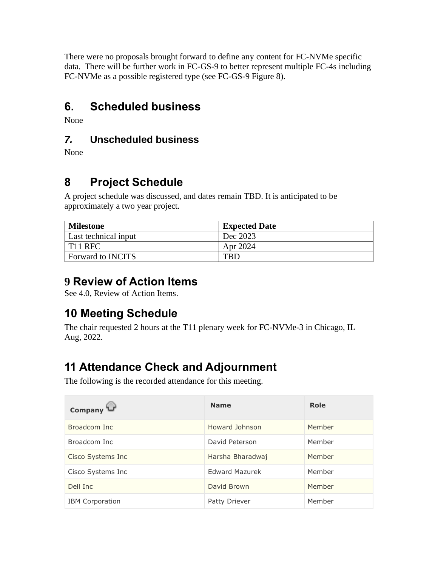There were no proposals brought forward to define any content for FC-NVMe specific data. There will be further work in FC-GS-9 to better represent multiple FC-4s including FC-NVMe as a possible registered type (see FC-GS-9 Figure 8).

# **6. Scheduled business**

None

## *7.* **Unscheduled business**

None

# **8 Project Schedule**

A project schedule was discussed, and dates remain TBD. It is anticipated to be approximately a two year project.

| <b>Milestone</b>         | <b>Expected Date</b> |
|--------------------------|----------------------|
| Last technical input     | Dec 2023             |
| T11 RFC                  | Apr 2024             |
| <b>Forward to INCITS</b> | TRD.                 |

## **9 Review of Action Items**

See 4.0, Review of Action Items.

# **10 Meeting Schedule**

The chair requested 2 hours at the T11 plenary week for FC-NVMe-3 in Chicago, IL Aug, 2022.

# **11 Attendance Check and Adjournment**

The following is the recorded attendance for this meeting.

| Company                | <b>Name</b>           | Role   |
|------------------------|-----------------------|--------|
| Broadcom Inc           | Howard Johnson        | Member |
| Broadcom Inc           | David Peterson        | Member |
| Cisco Systems Inc      | Harsha Bharadwai      | Member |
| Cisco Systems Inc      | <b>Edward Mazurek</b> | Member |
| Dell Inc               | David Brown           | Member |
| <b>IBM</b> Corporation | Patty Driever         | Member |